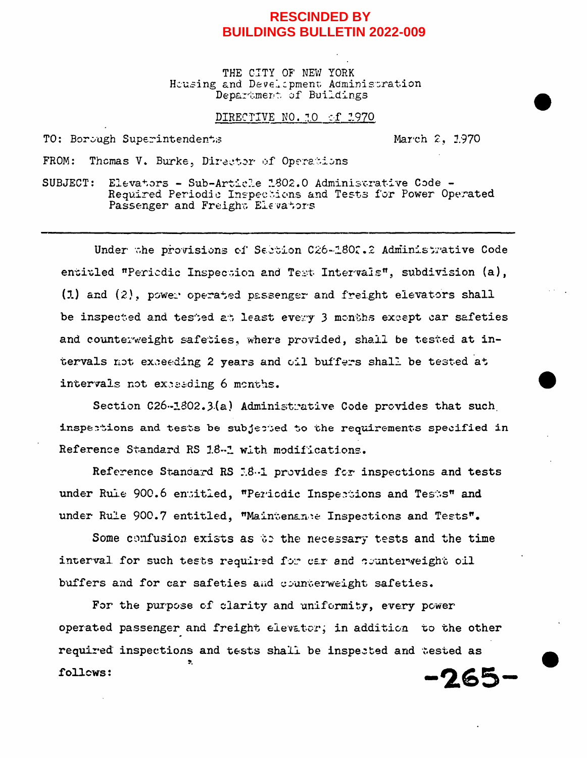## **RESCINDED BY BUILDINGS BULLETIN 2022-009**

THE CITY OF NEW YORK Housing and Development Administration Department of Buildings

## DIRECTIVE NO. 10 of 1970

TO: Borough Superintendents

March 2, 1970

Thomas V. Burke, Director of Operations FROM:

Elevators - Sub-Article 1802.0 Administrative Code -SUBJECT: Required Periodic Inspections and Tests for Power Operated Passenger and Freight Elevators

Under the provisions of Sabtion C26-1802.2 Administrative Code entitled "Periodic Inspection and Test Intervals", subdivision (a),  $(1)$  and  $(2)$ , power operated passenger and freight elevators shall be inspected and tested at least every 3 months except car safeties and counterweight safeties, where provided, shall be tested at intervals not exceeding 2 years and oil buffers shall be tested at intervals not exceeding 6 months.

Section C26-1802.3(a) Administrative Code provides that such inspections and tests be subjected to the requirements specified in Reference Standard RS 1.8-1 with modifications.

Reference Standard RS 18.1 provides for inspections and tests under Rule 900.6 entitled, "Periodic Inspections and Tests" and under Rule 900.7 entitled, "Maintenance Inspections and Tests".

Some confusion exists as to the necessary tests and the time interval for such tests required for car and counterveight oil buffers and for car safeties and counterweight safeties.

For the purpose of clarity and uniformity, every power operated passenger and freight elevator; in addition to the other required inspections and tests shall be inspected and tested as follows:  $-265-$